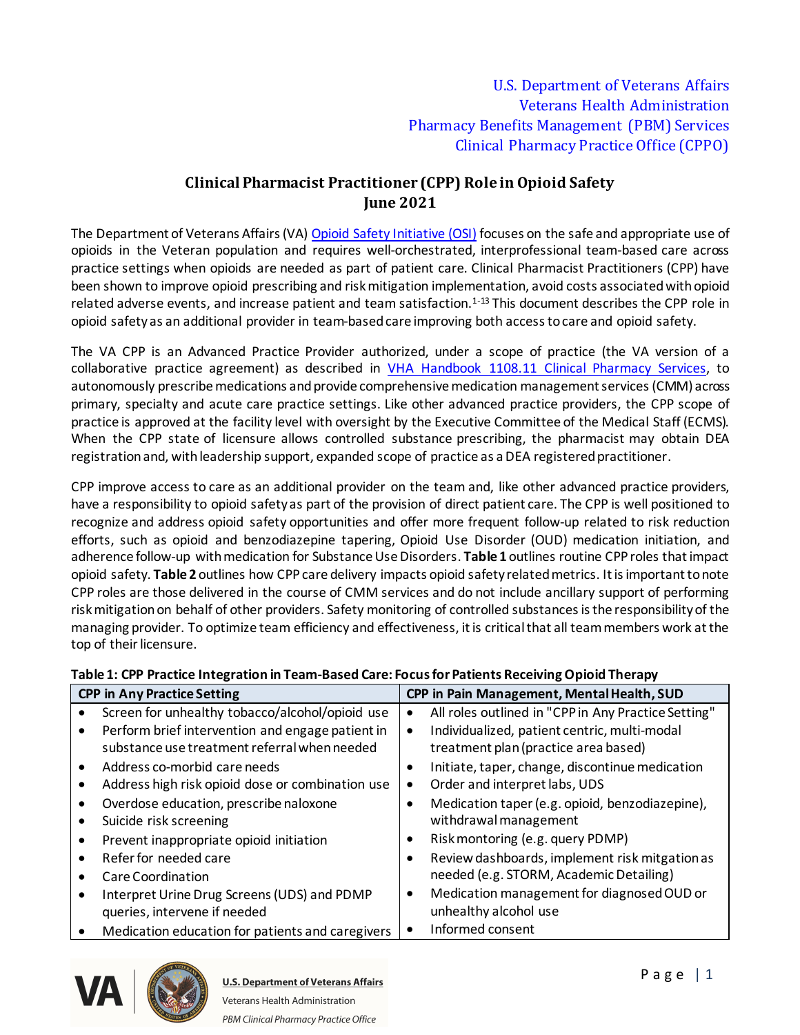## **Clinical Pharmacist Practitioner (CPP) Role in Opioid Safety June 2021**

The Department of Veterans Affairs (VA) [Opioid Safety Initiative \(OSI\)](https://www.va.gov/PAINMANAGEMENT/Opioid_Safety_Initiative_OSI.asp) focuses on the safe and appropriate use of opioids in the Veteran population and requires well-orchestrated, interprofessional team-based care across practice settings when opioids are needed as part of patient care. Clinical Pharmacist Practitioners (CPP) have been shown to improve opioid prescribing and risk mitigation implementation, avoid costs associated with opioid related adverse events, and increase patient and team satisfaction.<sup>1-13</sup> This document describes the CPP role in opioid safety as an additional provider in team-based care improving both access to care and opioid safety.

The VA CPP is an Advanced Practice Provider authorized, under a scope of practice (the VA version of a collaborative practice agreement) as described in [VHA Handbook 1108.11 Clinical Pharmacy Services](https://www.va.gov/vhapublications/ViewPublication.asp?pub_ID=3120), to autonomously prescribe medications and provide comprehensive medication management services (CMM) across primary, specialty and acute care practice settings. Like other advanced practice providers, the CPP scope of practice is approved at the facility level with oversight by the Executive Committee of the Medical Staff (ECMS). When the CPP state of licensure allows controlled substance prescribing, the pharmacist may obtain DEA registration and, with leadership support, expanded scope of practice as a DEA registered practitioner.

CPP improve access to care as an additional provider on the team and, like other advanced practice providers, have a responsibility to opioid safety as part of the provision of direct patient care. The CPP is well positioned to recognize and address opioid safety opportunities and offer more frequent follow-up related to risk reduction efforts, such as opioid and benzodiazepine tapering, Opioid Use Disorder (OUD) medication initiation, and adherence follow-up with medication for Substance Use Disorders. **Table 1** outlines routine CPProles that impact opioid safety. **Table 2** outlines how CPPcare delivery impacts opioid safety related metrics. It is important to note CPP roles are those delivered in the course of CMM services and do not include ancillary support of performing risk mitigation on behalf of other providers. Safety monitoring of controlled substances is the responsibility of the managing provider. To optimize team efficiency and effectiveness, it is critical that all team members work at the top of their licensure.

## **Table 1: CPP Practice Integration in Team-Based Care: Focus for Patients Receiving Opioid Therapy**

| <b>CPP in Any Practice Setting</b> |                                                  | CPP in Pain Management, Mental Health, SUD |                                                     |
|------------------------------------|--------------------------------------------------|--------------------------------------------|-----------------------------------------------------|
|                                    | Screen for unhealthy tobacco/alcohol/opioid use  | $\bullet$                                  | All roles outlined in "CPP in Any Practice Setting" |
|                                    | Perform brief intervention and engage patient in | ٠                                          | Individualized, patient centric, multi-modal        |
|                                    | substance use treatment referral when needed     |                                            | treatment plan (practice area based)                |
|                                    | Address co-morbid care needs                     | $\bullet$                                  | Initiate, taper, change, discontinue medication     |
|                                    | Address high risk opioid dose or combination use | ٠                                          | Order and interpret labs, UDS                       |
|                                    | Overdose education, prescribe naloxone           |                                            | Medication taper (e.g. opioid, benzodiazepine),     |
|                                    | Suicide risk screening                           |                                            | withdrawal management                               |
|                                    | Prevent inappropriate opioid initiation          | ٠                                          | Risk montoring (e.g. query PDMP)                    |
|                                    | Refer for needed care                            |                                            | Review dashboards, implement risk mitgation as      |
|                                    | Care Coordination                                |                                            | needed (e.g. STORM, Academic Detailing)             |
|                                    | Interpret Urine Drug Screens (UDS) and PDMP      | $\bullet$                                  | Medication management for diagnosed OUD or          |
|                                    | queries, intervene if needed                     |                                            | unhealthy alcohol use                               |
|                                    | Medication education for patients and caregivers | $\bullet$                                  | Informed consent                                    |





**U.S. Department of Veterans Affairs** Veterans Health Administration PBM Clinical Pharmacy Practice Office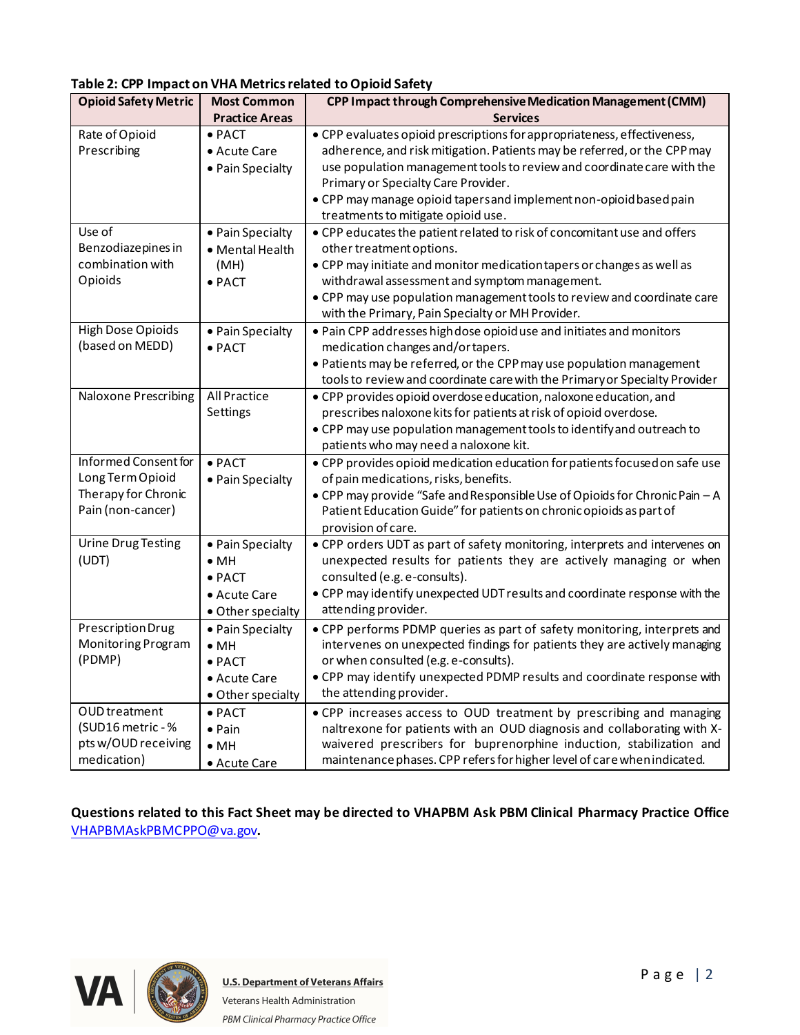| <br><b>Opioid Safety Metric</b>                                                      | <b>Most Common</b>                                                                      | ,,,,,,,,,,,<br>CPP Impact through Comprehensive Medication Management (CMM)                                                                                                                                                                                                                                                                                                      |
|--------------------------------------------------------------------------------------|-----------------------------------------------------------------------------------------|----------------------------------------------------------------------------------------------------------------------------------------------------------------------------------------------------------------------------------------------------------------------------------------------------------------------------------------------------------------------------------|
|                                                                                      | <b>Practice Areas</b>                                                                   | <b>Services</b>                                                                                                                                                                                                                                                                                                                                                                  |
| Rate of Opioid<br>Prescribing                                                        | $\bullet$ PACT<br>• Acute Care<br>• Pain Specialty                                      | • CPP evaluates opioid prescriptions for appropriateness, effectiveness,<br>adherence, and risk mitigation. Patients may be referred, or the CPP may<br>use population management tools to review and coordinate care with the<br>Primary or Specialty Care Provider.<br>• CPP may manage opioid tapersand implement non-opioid based pain<br>treatments to mitigate opioid use. |
| Use of<br>Benzodiazepines in<br>combination with<br>Opioids                          | • Pain Specialty<br>• Mental Health<br>(MH)<br>$\bullet$ PACT                           | • CPP educates the patient related to risk of concomitant use and offers<br>other treatment options.<br>• CPP may initiate and monitor medication tapers or changes as well as<br>withdrawal assessment and symptom management.<br>• CPP may use population management tools to review and coordinate care<br>with the Primary, Pain Specialty or MH Provider.                   |
| <b>High Dose Opioids</b><br>(based on MEDD)                                          | • Pain Specialty<br>$\bullet$ PACT                                                      | . Pain CPP addresses high dose opioiduse and initiates and monitors<br>medication changes and/or tapers.<br>• Patients may be referred, or the CPP may use population management<br>tools to review and coordinate care with the Primary or Specialty Provider                                                                                                                   |
| Naloxone Prescribing                                                                 | All Practice<br>Settings                                                                | • CPP provides opioid overdose education, naloxone education, and<br>prescribes naloxone kits for patients at risk of opioid overdose.<br>• CPP may use population management tools to identify and outreach to<br>patients who may need a naloxone kit.                                                                                                                         |
| Informed Consent for<br>Long Term Opioid<br>Therapy for Chronic<br>Pain (non-cancer) | $\bullet$ PACT<br>• Pain Specialty                                                      | . CPP provides opioid medication education for patients focused on safe use<br>of pain medications, risks, benefits.<br>• CPP may provide "Safe and Responsible Use of Opioids for Chronic Pain - A<br>Patient Education Guide" for patients on chronic opioids as part of<br>provision of care.                                                                                 |
| <b>Urine Drug Testing</b><br>(UDT)                                                   | • Pain Specialty<br>$\bullet$ MH<br>$\bullet$ PACT<br>• Acute Care<br>• Other specialty | • CPP orders UDT as part of safety monitoring, interprets and intervenes on<br>unexpected results for patients they are actively managing or when<br>consulted (e.g. e-consults).<br>• CPP may identify unexpected UDT results and coordinate response with the<br>attending provider.                                                                                           |
| Prescription Drug<br>Monitoring Program<br>(PDMP)                                    | • Pain Specialty<br>$\bullet$ MH<br>$\bullet$ PACT<br>• Acute Care<br>• Other specialty | • CPP performs PDMP queries as part of safety monitoring, interprets and<br>intervenes on unexpected findings for patients they are actively managing<br>or when consulted (e.g. e-consults).<br>• CPP may identify unexpected PDMP results and coordinate response with<br>the attending provider.                                                                              |
| OUD treatment<br>(SUD16 metric - %<br>pts w/OUD receiving<br>medication)             | $\bullet$ PACT<br>$\bullet$ Pain<br>$\bullet$ MH<br>• Acute Care                        | . CPP increases access to OUD treatment by prescribing and managing<br>naltrexone for patients with an OUD diagnosis and collaborating with X-<br>waivered prescribers for buprenorphine induction, stabilization and<br>maintenance phases. CPP refers for higher level of care when indicated.                                                                                 |

## **Table 2: CPP Impact on VHA Metrics related to Opioid Safety**

**Questions related to this Fact Sheet may be directed to VHAPBM Ask PBM Clinical Pharmacy Practice Office**  [VHAPBMAskPBMCPPO@va.gov](mailto:VHAPBMAskPBMCPPO@va.gov)**.**